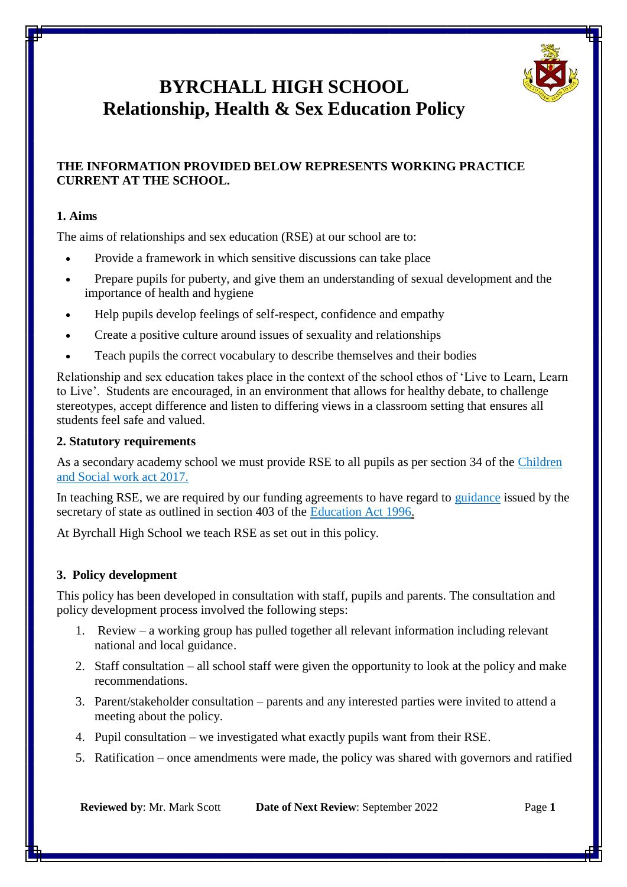

# **BYRCHALL HIGH SCHOOL Relationship, Health & Sex Education Policy**

#### **THE INFORMATION PROVIDED BELOW REPRESENTS WORKING PRACTICE CURRENT AT THE SCHOOL.**

#### **1. Aims**

The aims of relationships and sex education (RSE) at our school are to:

- Provide a framework in which sensitive discussions can take place
- Prepare pupils for puberty, and give them an understanding of sexual development and the importance of health and hygiene
- Help pupils develop feelings of self-respect, confidence and empathy
- Create a positive culture around issues of sexuality and relationships
- Teach pupils the correct vocabulary to describe themselves and their bodies

Relationship and sex education takes place in the context of the school ethos of 'Live to Learn, Learn to Live'. Students are encouraged, in an environment that allows for healthy debate, to challenge stereotypes, accept difference and listen to differing views in a classroom setting that ensures all students feel safe and valued.

#### **2. Statutory requirements**

As a secondary academy school we must provide RSE to all pupils as per section 34 of the [Children](http://www.legislation.gov.uk/ukpga/2017/16/section/34/enacted)  [and Social work act 2017.](http://www.legislation.gov.uk/ukpga/2017/16/section/34/enacted)

In teaching RSE, we are required by our funding agreements to have regard to [guidance](https://www.gov.uk/government/consultations/relationships-and-sex-education-and-health-education) issued by the secretary of state as outlined in section 403 of the [Education Act 1996.](http://www.legislation.gov.uk/ukpga/1996/56/contents)

At Byrchall High School we teach RSE as set out in this policy.

#### **3. Policy development**

This policy has been developed in consultation with staff, pupils and parents. The consultation and policy development process involved the following steps:

- 1. Review a working group has pulled together all relevant information including relevant national and local guidance.
- 2. Staff consultation all school staff were given the opportunity to look at the policy and make recommendations.
- 3. Parent/stakeholder consultation parents and any interested parties were invited to attend a meeting about the policy.
- 4. Pupil consultation we investigated what exactly pupils want from their RSE.
- 5. Ratification once amendments were made, the policy was shared with governors and ratified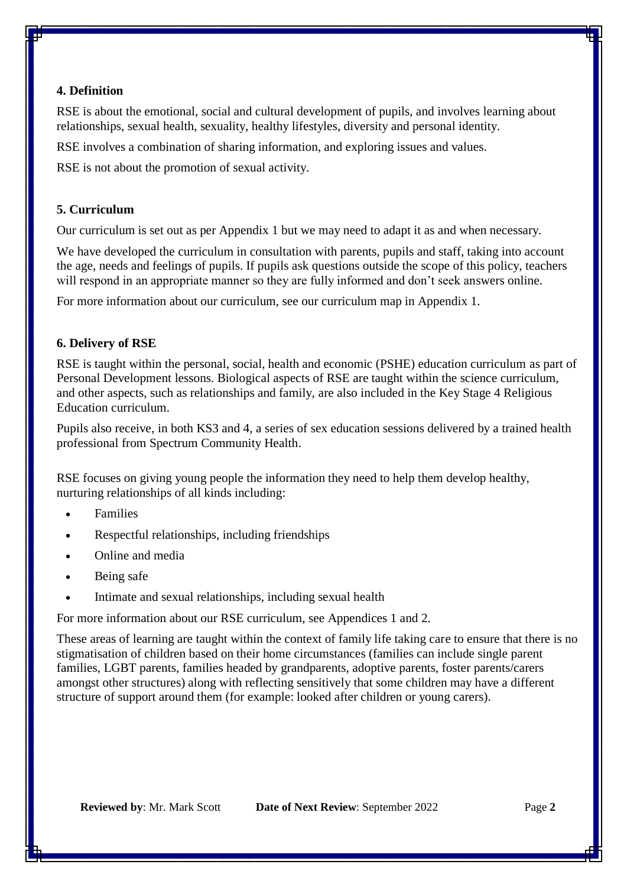#### **4. Definition**

RSE is about the emotional, social and cultural development of pupils, and involves learning about relationships, sexual health, sexuality, healthy lifestyles, diversity and personal identity.

RSE involves a combination of sharing information, and exploring issues and values.

RSE is not about the promotion of sexual activity.

#### **5. Curriculum**

Our curriculum is set out as per Appendix 1 but we may need to adapt it as and when necessary.

We have developed the curriculum in consultation with parents, pupils and staff, taking into account the age, needs and feelings of pupils. If pupils ask questions outside the scope of this policy, teachers will respond in an appropriate manner so they are fully informed and don't seek answers online.

For more information about our curriculum, see our curriculum map in Appendix 1.

#### **6. Delivery of RSE**

RSE is taught within the personal, social, health and economic (PSHE) education curriculum as part of Personal Development lessons. Biological aspects of RSE are taught within the science curriculum, and other aspects, such as relationships and family, are also included in the Key Stage 4 Religious Education curriculum.

Pupils also receive, in both KS3 and 4, a series of sex education sessions delivered by a trained health professional from Spectrum Community Health.

RSE focuses on giving young people the information they need to help them develop healthy, nurturing relationships of all kinds including:

- Families
- Respectful relationships, including friendships
- Online and media
- Being safe
- Intimate and sexual relationships, including sexual health

For more information about our RSE curriculum, see Appendices 1 and 2.

These areas of learning are taught within the context of family life taking care to ensure that there is no stigmatisation of children based on their home circumstances (families can include single parent families, LGBT parents, families headed by grandparents, adoptive parents, foster parents/carers amongst other structures) along with reflecting sensitively that some children may have a different structure of support around them (for example: looked after children or young carers).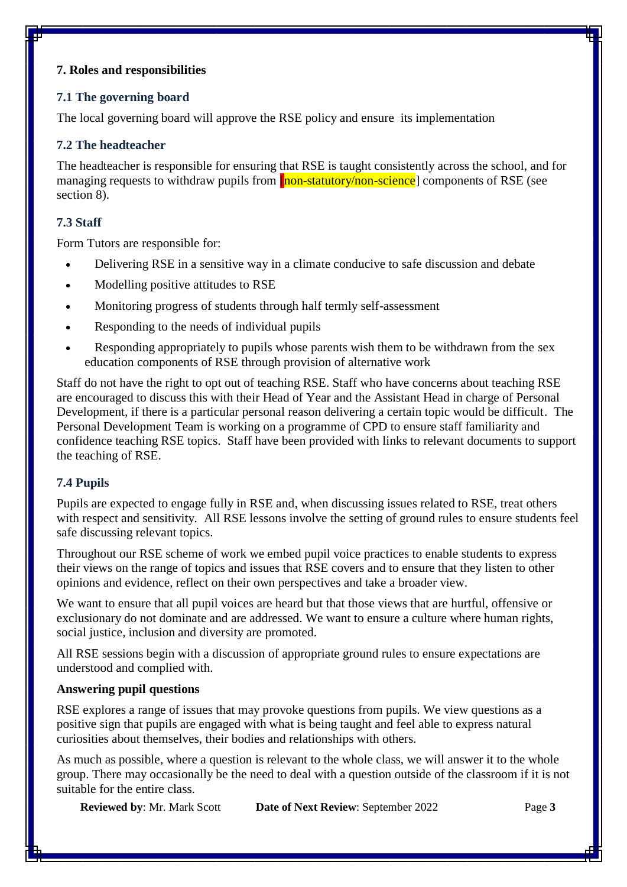#### **7. Roles and responsibilities**

#### **7.1 The governing board**

The local governing board will approve the RSE policy and ensure its implementation

#### **7.2 The headteacher**

The headteacher is responsible for ensuring that RSE is taught consistently across the school, and for managing requests to withdraw pupils from **[non-statutory/non-science**] components of RSE (see section 8).

#### **7.3 Staff**

Form Tutors are responsible for:

- Delivering RSE in a sensitive way in a climate conducive to safe discussion and debate
- Modelling positive attitudes to RSE
- Monitoring progress of students through half termly self-assessment
- Responding to the needs of individual pupils
- Responding appropriately to pupils whose parents wish them to be withdrawn from the sex education components of RSE through provision of alternative work

Staff do not have the right to opt out of teaching RSE. Staff who have concerns about teaching RSE are encouraged to discuss this with their Head of Year and the Assistant Head in charge of Personal Development, if there is a particular personal reason delivering a certain topic would be difficult. The Personal Development Team is working on a programme of CPD to ensure staff familiarity and confidence teaching RSE topics. Staff have been provided with links to relevant documents to support the teaching of RSE.

#### **7.4 Pupils**

Pupils are expected to engage fully in RSE and, when discussing issues related to RSE, treat others with respect and sensitivity. All RSE lessons involve the setting of ground rules to ensure students feel safe discussing relevant topics.

Throughout our RSE scheme of work we embed pupil voice practices to enable students to express their views on the range of topics and issues that RSE covers and to ensure that they listen to other opinions and evidence, reflect on their own perspectives and take a broader view.

We want to ensure that all pupil voices are heard but that those views that are hurtful, offensive or exclusionary do not dominate and are addressed. We want to ensure a culture where human rights, social justice, inclusion and diversity are promoted.

All RSE sessions begin with a discussion of appropriate ground rules to ensure expectations are understood and complied with.

#### **Answering pupil questions**

RSE explores a range of issues that may provoke questions from pupils. We view questions as a positive sign that pupils are engaged with what is being taught and feel able to express natural curiosities about themselves, their bodies and relationships with others.

As much as possible, where a question is relevant to the whole class, we will answer it to the whole group. There may occasionally be the need to deal with a question outside of the classroom if it is not suitable for the entire class.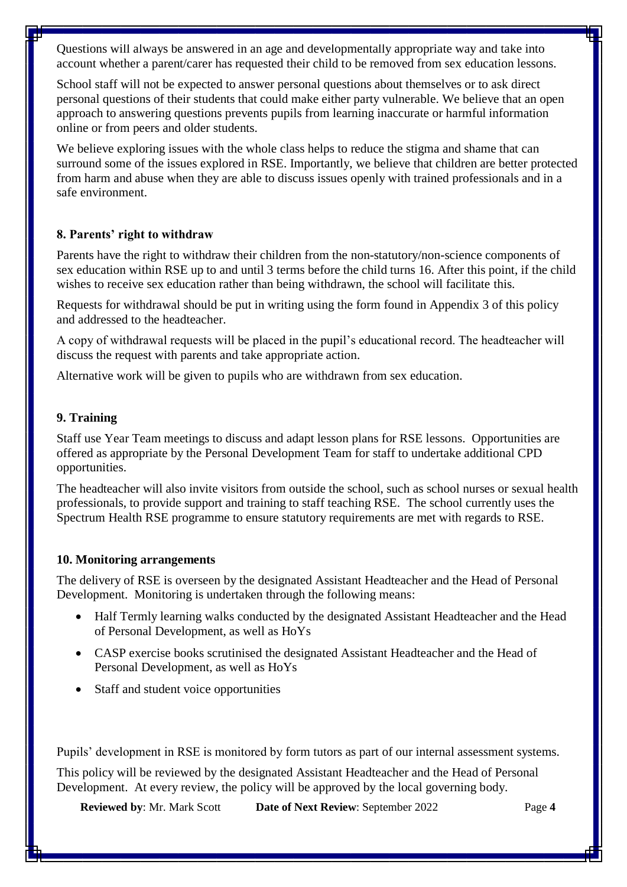Questions will always be answered in an age and developmentally appropriate way and take into account whether a parent/carer has requested their child to be removed from sex education lessons.

School staff will not be expected to answer personal questions about themselves or to ask direct personal questions of their students that could make either party vulnerable. We believe that an open approach to answering questions prevents pupils from learning inaccurate or harmful information online or from peers and older students.

We believe exploring issues with the whole class helps to reduce the stigma and shame that can surround some of the issues explored in RSE. Importantly, we believe that children are better protected from harm and abuse when they are able to discuss issues openly with trained professionals and in a safe environment.

#### **8. Parents' right to withdraw**

Parents have the right to withdraw their children from the non-statutory/non-science components of sex education within RSE up to and until 3 terms before the child turns 16. After this point, if the child wishes to receive sex education rather than being withdrawn, the school will facilitate this.

Requests for withdrawal should be put in writing using the form found in Appendix 3 of this policy and addressed to the headteacher.

A copy of withdrawal requests will be placed in the pupil's educational record. The headteacher will discuss the request with parents and take appropriate action.

Alternative work will be given to pupils who are withdrawn from sex education.

#### **9. Training**

Staff use Year Team meetings to discuss and adapt lesson plans for RSE lessons. Opportunities are offered as appropriate by the Personal Development Team for staff to undertake additional CPD opportunities.

The headteacher will also invite visitors from outside the school, such as school nurses or sexual health professionals, to provide support and training to staff teaching RSE. The school currently uses the Spectrum Health RSE programme to ensure statutory requirements are met with regards to RSE.

#### **10. Monitoring arrangements**

The delivery of RSE is overseen by the designated Assistant Headteacher and the Head of Personal Development. Monitoring is undertaken through the following means:

- Half Termly learning walks conducted by the designated Assistant Headteacher and the Head of Personal Development, as well as HoYs
- CASP exercise books scrutinised the designated Assistant Headteacher and the Head of Personal Development, as well as HoYs
- Staff and student voice opportunities

Pupils' development in RSE is monitored by form tutors as part of our internal assessment systems.

This policy will be reviewed by the designated Assistant Headteacher and the Head of Personal Development. At every review, the policy will be approved by the local governing body.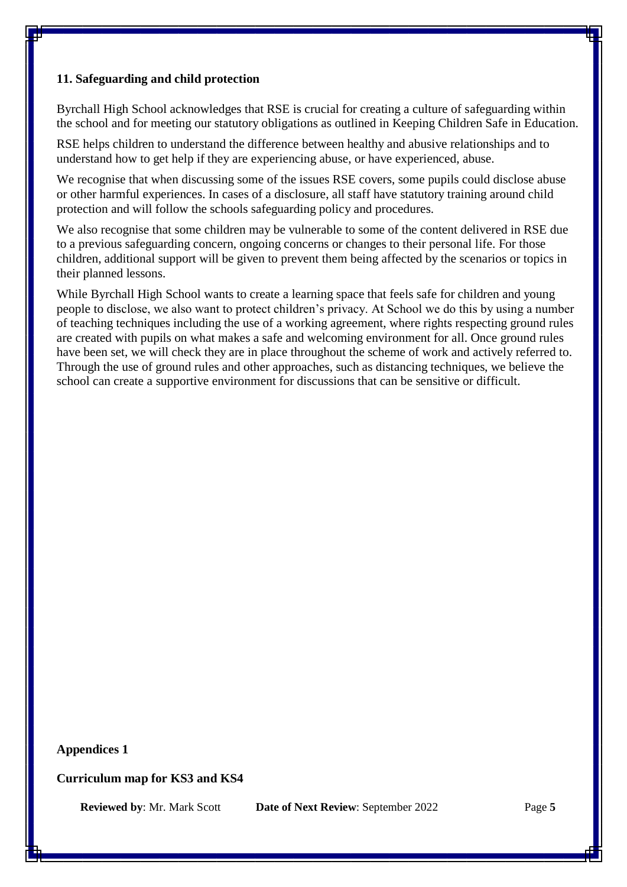#### **11. Safeguarding and child protection**

Byrchall High School acknowledges that RSE is crucial for creating a culture of safeguarding within the school and for meeting our statutory obligations as outlined in Keeping Children Safe in Education.

RSE helps children to understand the difference between healthy and abusive relationships and to understand how to get help if they are experiencing abuse, or have experienced, abuse.

We recognise that when discussing some of the issues RSE covers, some pupils could disclose abuse or other harmful experiences. In cases of a disclosure, all staff have statutory training around child protection and will follow the schools safeguarding policy and procedures.

We also recognise that some children may be vulnerable to some of the content delivered in RSE due to a previous safeguarding concern, ongoing concerns or changes to their personal life. For those children, additional support will be given to prevent them being affected by the scenarios or topics in their planned lessons.

While Byrchall High School wants to create a learning space that feels safe for children and young people to disclose, we also want to protect children's privacy. At School we do this by using a number of teaching techniques including the use of a working agreement, where rights respecting ground rules are created with pupils on what makes a safe and welcoming environment for all. Once ground rules have been set, we will check they are in place throughout the scheme of work and actively referred to. Through the use of ground rules and other approaches, such as distancing techniques, we believe the school can create a supportive environment for discussions that can be sensitive or difficult.

#### **Appendices 1**

#### **Curriculum map for KS3 and KS4**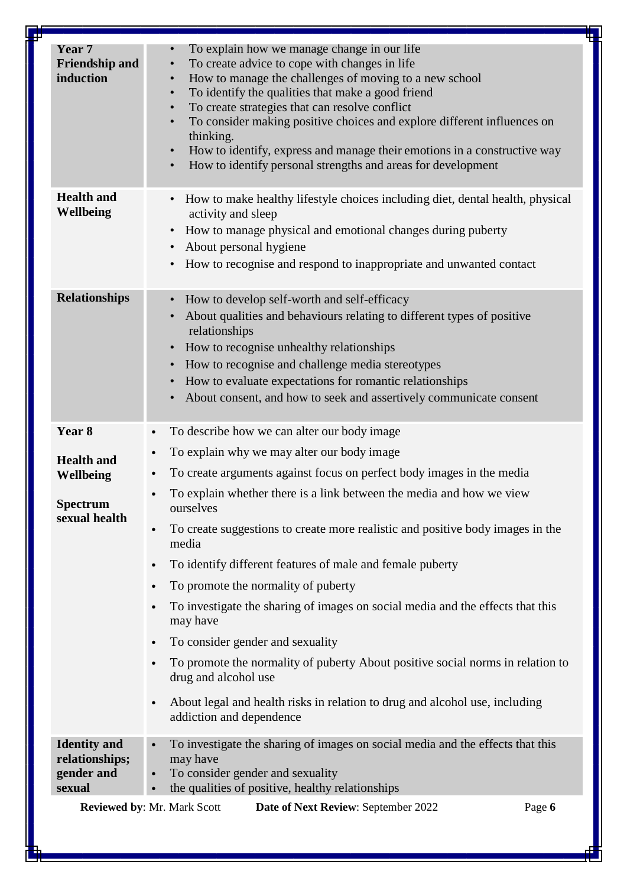| <b>Health and</b><br>How to make healthy lifestyle choices including diet, dental health, physical<br>$\bullet$<br>Wellbeing<br>activity and sleep<br>How to manage physical and emotional changes during puberty<br>$\bullet$<br>About personal hygiene<br>$\bullet$<br>How to recognise and respond to inappropriate and unwanted contact<br>$\bullet$<br><b>Relationships</b><br>How to develop self-worth and self-efficacy<br>$\bullet$<br>About qualities and behaviours relating to different types of positive<br>$\bullet$<br>relationships<br>How to recognise unhealthy relationships<br>$\bullet$<br>How to recognise and challenge media stereotypes<br>$\bullet$<br>How to evaluate expectations for romantic relationships<br>$\bullet$<br>About consent, and how to seek and assertively communicate consent<br>Year <sub>8</sub><br>To describe how we can alter our body image<br>$\bullet$<br>To explain why we may alter our body image<br>$\bullet$<br><b>Health and</b><br>To create arguments against focus on perfect body images in the media<br>Wellbeing<br>$\bullet$<br>To explain whether there is a link between the media and how we view<br><b>Spectrum</b><br>ourselves<br>sexual health<br>To create suggestions to create more realistic and positive body images in the<br>media<br>To identify different features of male and female puberty<br>$\bullet$<br>To promote the normality of puberty<br>$\bullet$<br>To investigate the sharing of images on social media and the effects that this<br>may have<br>To consider gender and sexuality<br>$\bullet$<br>To promote the normality of puberty About positive social norms in relation to<br>drug and alcohol use<br>About legal and health risks in relation to drug and alcohol use, including<br>$\bullet$<br>addiction and dependence<br><b>Identity</b> and<br>To investigate the sharing of images on social media and the effects that this<br>relationships;<br>may have<br>gender and<br>To consider gender and sexuality<br>$\bullet$<br>the qualities of positive, healthy relationships<br>sexual<br>Reviewed by: Mr. Mark Scott<br>Page 6<br>Date of Next Review: September 2022 | Year 7<br><b>Friendship and</b><br>induction | To explain how we manage change in our life<br>To create advice to cope with changes in life<br>$\bullet$<br>How to manage the challenges of moving to a new school<br>$\bullet$<br>To identify the qualities that make a good friend<br>$\bullet$<br>To create strategies that can resolve conflict<br>$\bullet$<br>To consider making positive choices and explore different influences on<br>$\bullet$<br>thinking.<br>How to identify, express and manage their emotions in a constructive way<br>$\bullet$<br>How to identify personal strengths and areas for development<br>$\bullet$ |
|-----------------------------------------------------------------------------------------------------------------------------------------------------------------------------------------------------------------------------------------------------------------------------------------------------------------------------------------------------------------------------------------------------------------------------------------------------------------------------------------------------------------------------------------------------------------------------------------------------------------------------------------------------------------------------------------------------------------------------------------------------------------------------------------------------------------------------------------------------------------------------------------------------------------------------------------------------------------------------------------------------------------------------------------------------------------------------------------------------------------------------------------------------------------------------------------------------------------------------------------------------------------------------------------------------------------------------------------------------------------------------------------------------------------------------------------------------------------------------------------------------------------------------------------------------------------------------------------------------------------------------------------------------------------------------------------------------------------------------------------------------------------------------------------------------------------------------------------------------------------------------------------------------------------------------------------------------------------------------------------------------------------------------------------------------------------------------------------------------------------------------------------------------------------------------------------|----------------------------------------------|----------------------------------------------------------------------------------------------------------------------------------------------------------------------------------------------------------------------------------------------------------------------------------------------------------------------------------------------------------------------------------------------------------------------------------------------------------------------------------------------------------------------------------------------------------------------------------------------|
|                                                                                                                                                                                                                                                                                                                                                                                                                                                                                                                                                                                                                                                                                                                                                                                                                                                                                                                                                                                                                                                                                                                                                                                                                                                                                                                                                                                                                                                                                                                                                                                                                                                                                                                                                                                                                                                                                                                                                                                                                                                                                                                                                                                         |                                              |                                                                                                                                                                                                                                                                                                                                                                                                                                                                                                                                                                                              |
|                                                                                                                                                                                                                                                                                                                                                                                                                                                                                                                                                                                                                                                                                                                                                                                                                                                                                                                                                                                                                                                                                                                                                                                                                                                                                                                                                                                                                                                                                                                                                                                                                                                                                                                                                                                                                                                                                                                                                                                                                                                                                                                                                                                         |                                              |                                                                                                                                                                                                                                                                                                                                                                                                                                                                                                                                                                                              |
|                                                                                                                                                                                                                                                                                                                                                                                                                                                                                                                                                                                                                                                                                                                                                                                                                                                                                                                                                                                                                                                                                                                                                                                                                                                                                                                                                                                                                                                                                                                                                                                                                                                                                                                                                                                                                                                                                                                                                                                                                                                                                                                                                                                         |                                              |                                                                                                                                                                                                                                                                                                                                                                                                                                                                                                                                                                                              |
|                                                                                                                                                                                                                                                                                                                                                                                                                                                                                                                                                                                                                                                                                                                                                                                                                                                                                                                                                                                                                                                                                                                                                                                                                                                                                                                                                                                                                                                                                                                                                                                                                                                                                                                                                                                                                                                                                                                                                                                                                                                                                                                                                                                         |                                              |                                                                                                                                                                                                                                                                                                                                                                                                                                                                                                                                                                                              |
|                                                                                                                                                                                                                                                                                                                                                                                                                                                                                                                                                                                                                                                                                                                                                                                                                                                                                                                                                                                                                                                                                                                                                                                                                                                                                                                                                                                                                                                                                                                                                                                                                                                                                                                                                                                                                                                                                                                                                                                                                                                                                                                                                                                         |                                              |                                                                                                                                                                                                                                                                                                                                                                                                                                                                                                                                                                                              |
|                                                                                                                                                                                                                                                                                                                                                                                                                                                                                                                                                                                                                                                                                                                                                                                                                                                                                                                                                                                                                                                                                                                                                                                                                                                                                                                                                                                                                                                                                                                                                                                                                                                                                                                                                                                                                                                                                                                                                                                                                                                                                                                                                                                         |                                              |                                                                                                                                                                                                                                                                                                                                                                                                                                                                                                                                                                                              |
|                                                                                                                                                                                                                                                                                                                                                                                                                                                                                                                                                                                                                                                                                                                                                                                                                                                                                                                                                                                                                                                                                                                                                                                                                                                                                                                                                                                                                                                                                                                                                                                                                                                                                                                                                                                                                                                                                                                                                                                                                                                                                                                                                                                         |                                              |                                                                                                                                                                                                                                                                                                                                                                                                                                                                                                                                                                                              |
|                                                                                                                                                                                                                                                                                                                                                                                                                                                                                                                                                                                                                                                                                                                                                                                                                                                                                                                                                                                                                                                                                                                                                                                                                                                                                                                                                                                                                                                                                                                                                                                                                                                                                                                                                                                                                                                                                                                                                                                                                                                                                                                                                                                         |                                              |                                                                                                                                                                                                                                                                                                                                                                                                                                                                                                                                                                                              |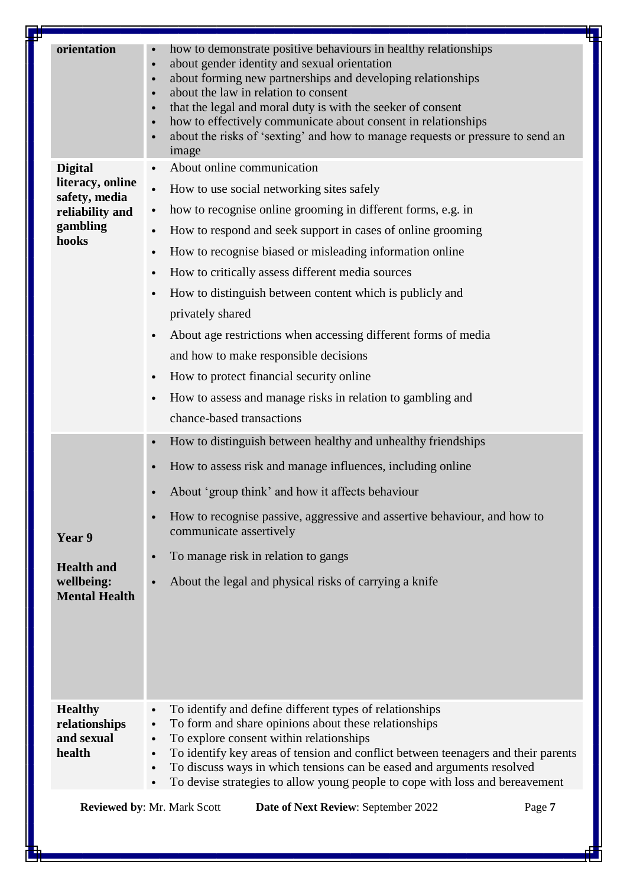| orientation<br>how to demonstrate positive behaviours in healthy relationships<br>about gender identity and sexual orientation<br>$\bullet$<br>about forming new partnerships and developing relationships<br>$\bullet$<br>about the law in relation to consent<br>$\bullet$<br>that the legal and moral duty is with the seeker of consent<br>$\bullet$<br>how to effectively communicate about consent in relationships<br>$\bullet$<br>about the risks of 'sexting' and how to manage requests or pressure to send an<br>image<br>About online communication<br><b>Digital</b><br>literacy, online<br>How to use social networking sites safely<br>safety, media<br>how to recognise online grooming in different forms, e.g. in<br>reliability and<br>$\bullet$<br>gambling<br>How to respond and seek support in cases of online grooming<br>hooks<br>How to recognise biased or misleading information online<br>$\bullet$<br>How to critically assess different media sources<br>How to distinguish between content which is publicly and<br>privately shared<br>About age restrictions when accessing different forms of media<br>and how to make responsible decisions<br>How to protect financial security online<br>How to assess and manage risks in relation to gambling and<br>chance-based transactions<br>How to distinguish between healthy and unhealthy friendships<br>$\bullet$<br>How to assess risk and manage influences, including online<br>About 'group think' and how it affects behaviour<br>How to recognise passive, aggressive and assertive behaviour, and how to<br>communicate assertively<br>Year 9<br>To manage risk in relation to gangs<br>$\bullet$<br><b>Health and</b><br>wellbeing:<br>About the legal and physical risks of carrying a knife<br><b>Mental Health</b><br>To identify and define different types of relationships<br><b>Healthy</b><br>To form and share opinions about these relationships<br>relationships<br>$\bullet$<br>and sexual<br>To explore consent within relationships<br>$\bullet$<br>health<br>To identify key areas of tension and conflict between teenagers and their parents<br>$\bullet$<br>To discuss ways in which tensions can be eased and arguments resolved<br>$\bullet$<br>To devise strategies to allow young people to cope with loss and bereavement<br><b>Reviewed by: Mr. Mark Scott</b><br>Date of Next Review: September 2022<br>Page 7 | ┶ |
|-----------------------------------------------------------------------------------------------------------------------------------------------------------------------------------------------------------------------------------------------------------------------------------------------------------------------------------------------------------------------------------------------------------------------------------------------------------------------------------------------------------------------------------------------------------------------------------------------------------------------------------------------------------------------------------------------------------------------------------------------------------------------------------------------------------------------------------------------------------------------------------------------------------------------------------------------------------------------------------------------------------------------------------------------------------------------------------------------------------------------------------------------------------------------------------------------------------------------------------------------------------------------------------------------------------------------------------------------------------------------------------------------------------------------------------------------------------------------------------------------------------------------------------------------------------------------------------------------------------------------------------------------------------------------------------------------------------------------------------------------------------------------------------------------------------------------------------------------------------------------------------------------------------------------------------------------------------------------------------------------------------------------------------------------------------------------------------------------------------------------------------------------------------------------------------------------------------------------------------------------------------------------------------------------------------------------------------------------------------------------------------------------------------------------------------|---|
|                                                                                                                                                                                                                                                                                                                                                                                                                                                                                                                                                                                                                                                                                                                                                                                                                                                                                                                                                                                                                                                                                                                                                                                                                                                                                                                                                                                                                                                                                                                                                                                                                                                                                                                                                                                                                                                                                                                                                                                                                                                                                                                                                                                                                                                                                                                                                                                                                                   |   |
|                                                                                                                                                                                                                                                                                                                                                                                                                                                                                                                                                                                                                                                                                                                                                                                                                                                                                                                                                                                                                                                                                                                                                                                                                                                                                                                                                                                                                                                                                                                                                                                                                                                                                                                                                                                                                                                                                                                                                                                                                                                                                                                                                                                                                                                                                                                                                                                                                                   |   |
|                                                                                                                                                                                                                                                                                                                                                                                                                                                                                                                                                                                                                                                                                                                                                                                                                                                                                                                                                                                                                                                                                                                                                                                                                                                                                                                                                                                                                                                                                                                                                                                                                                                                                                                                                                                                                                                                                                                                                                                                                                                                                                                                                                                                                                                                                                                                                                                                                                   |   |
|                                                                                                                                                                                                                                                                                                                                                                                                                                                                                                                                                                                                                                                                                                                                                                                                                                                                                                                                                                                                                                                                                                                                                                                                                                                                                                                                                                                                                                                                                                                                                                                                                                                                                                                                                                                                                                                                                                                                                                                                                                                                                                                                                                                                                                                                                                                                                                                                                                   |   |
|                                                                                                                                                                                                                                                                                                                                                                                                                                                                                                                                                                                                                                                                                                                                                                                                                                                                                                                                                                                                                                                                                                                                                                                                                                                                                                                                                                                                                                                                                                                                                                                                                                                                                                                                                                                                                                                                                                                                                                                                                                                                                                                                                                                                                                                                                                                                                                                                                                   |   |
|                                                                                                                                                                                                                                                                                                                                                                                                                                                                                                                                                                                                                                                                                                                                                                                                                                                                                                                                                                                                                                                                                                                                                                                                                                                                                                                                                                                                                                                                                                                                                                                                                                                                                                                                                                                                                                                                                                                                                                                                                                                                                                                                                                                                                                                                                                                                                                                                                                   |   |
|                                                                                                                                                                                                                                                                                                                                                                                                                                                                                                                                                                                                                                                                                                                                                                                                                                                                                                                                                                                                                                                                                                                                                                                                                                                                                                                                                                                                                                                                                                                                                                                                                                                                                                                                                                                                                                                                                                                                                                                                                                                                                                                                                                                                                                                                                                                                                                                                                                   |   |
|                                                                                                                                                                                                                                                                                                                                                                                                                                                                                                                                                                                                                                                                                                                                                                                                                                                                                                                                                                                                                                                                                                                                                                                                                                                                                                                                                                                                                                                                                                                                                                                                                                                                                                                                                                                                                                                                                                                                                                                                                                                                                                                                                                                                                                                                                                                                                                                                                                   |   |
|                                                                                                                                                                                                                                                                                                                                                                                                                                                                                                                                                                                                                                                                                                                                                                                                                                                                                                                                                                                                                                                                                                                                                                                                                                                                                                                                                                                                                                                                                                                                                                                                                                                                                                                                                                                                                                                                                                                                                                                                                                                                                                                                                                                                                                                                                                                                                                                                                                   |   |
|                                                                                                                                                                                                                                                                                                                                                                                                                                                                                                                                                                                                                                                                                                                                                                                                                                                                                                                                                                                                                                                                                                                                                                                                                                                                                                                                                                                                                                                                                                                                                                                                                                                                                                                                                                                                                                                                                                                                                                                                                                                                                                                                                                                                                                                                                                                                                                                                                                   |   |
|                                                                                                                                                                                                                                                                                                                                                                                                                                                                                                                                                                                                                                                                                                                                                                                                                                                                                                                                                                                                                                                                                                                                                                                                                                                                                                                                                                                                                                                                                                                                                                                                                                                                                                                                                                                                                                                                                                                                                                                                                                                                                                                                                                                                                                                                                                                                                                                                                                   |   |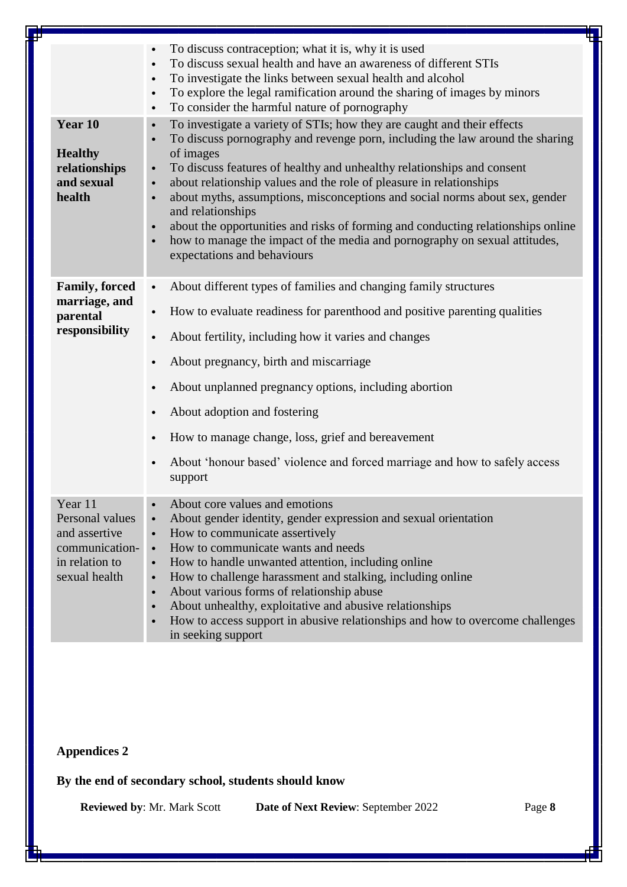|                                                                                                  | To discuss contraception; what it is, why it is used<br>To discuss sexual health and have an awareness of different STIs<br>To investigate the links between sexual health and alcohol<br>$\bullet$<br>To explore the legal ramification around the sharing of images by minors<br>$\bullet$<br>To consider the harmful nature of pornography<br>$\bullet$                                                                                                                                                                                                                                                                                                                      |
|--------------------------------------------------------------------------------------------------|---------------------------------------------------------------------------------------------------------------------------------------------------------------------------------------------------------------------------------------------------------------------------------------------------------------------------------------------------------------------------------------------------------------------------------------------------------------------------------------------------------------------------------------------------------------------------------------------------------------------------------------------------------------------------------|
| Year 10<br><b>Healthy</b><br>relationships<br>and sexual<br>health                               | To investigate a variety of STIs; how they are caught and their effects<br>$\bullet$<br>To discuss pornography and revenge porn, including the law around the sharing<br>$\bullet$<br>of images<br>To discuss features of healthy and unhealthy relationships and consent<br>about relationship values and the role of pleasure in relationships<br>$\bullet$<br>about myths, assumptions, misconceptions and social norms about sex, gender<br>$\bullet$<br>and relationships<br>about the opportunities and risks of forming and conducting relationships online<br>how to manage the impact of the media and pornography on sexual attitudes,<br>expectations and behaviours |
| <b>Family, forced</b><br>marriage, and<br>parental<br>responsibility                             | About different types of families and changing family structures<br>$\bullet$<br>How to evaluate readiness for parenthood and positive parenting qualities<br>$\bullet$<br>About fertility, including how it varies and changes<br>$\bullet$<br>About pregnancy, birth and miscarriage<br>About unplanned pregnancy options, including abortion<br>About adoption and fostering<br>$\bullet$<br>How to manage change, loss, grief and bereavement<br>About 'honour based' violence and forced marriage and how to safely access<br>$\bullet$<br>support                                                                                                                         |
| Year 11<br>Personal values<br>and assertive<br>communication-<br>in relation to<br>sexual health | About core values and emotions<br>About gender identity, gender expression and sexual orientation<br>How to communicate assertively<br>$\bullet$<br>How to communicate wants and needs<br>$\bullet$<br>How to handle unwanted attention, including online<br>$\bullet$<br>How to challenge harassment and stalking, including online<br>$\bullet$<br>About various forms of relationship abuse<br>$\bullet$<br>About unhealthy, exploitative and abusive relationships<br>$\bullet$<br>How to access support in abusive relationships and how to overcome challenges<br>$\bullet$<br>in seeking support                                                                         |

# **Appendices 2**

**By the end of secondary school, students should know**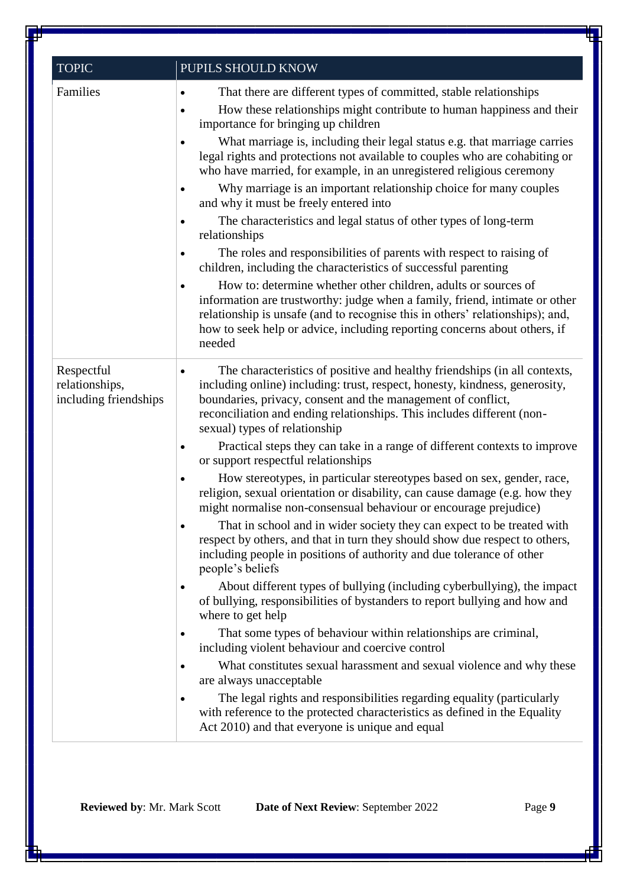| <b>TOPIC</b>                                          | PUPILS SHOULD KNOW                                                                                                                                                                                                                                                                                                                                                                                                                                                                                                                                                                                                                                                                                                                                                                                                                                                                                                                                                                                                                                                                                                                                                                                                                                                                                                                                                                                                                                                                                                                                                                           |
|-------------------------------------------------------|----------------------------------------------------------------------------------------------------------------------------------------------------------------------------------------------------------------------------------------------------------------------------------------------------------------------------------------------------------------------------------------------------------------------------------------------------------------------------------------------------------------------------------------------------------------------------------------------------------------------------------------------------------------------------------------------------------------------------------------------------------------------------------------------------------------------------------------------------------------------------------------------------------------------------------------------------------------------------------------------------------------------------------------------------------------------------------------------------------------------------------------------------------------------------------------------------------------------------------------------------------------------------------------------------------------------------------------------------------------------------------------------------------------------------------------------------------------------------------------------------------------------------------------------------------------------------------------------|
| Families                                              | That there are different types of committed, stable relationships<br>$\bullet$<br>How these relationships might contribute to human happiness and their<br>importance for bringing up children<br>What marriage is, including their legal status e.g. that marriage carries<br>legal rights and protections not available to couples who are cohabiting or<br>who have married, for example, in an unregistered religious ceremony<br>Why marriage is an important relationship choice for many couples<br>and why it must be freely entered into<br>The characteristics and legal status of other types of long-term<br>relationships<br>The roles and responsibilities of parents with respect to raising of<br>children, including the characteristics of successful parenting<br>How to: determine whether other children, adults or sources of<br>$\bullet$<br>information are trustworthy: judge when a family, friend, intimate or other<br>relationship is unsafe (and to recognise this in others' relationships); and,<br>how to seek help or advice, including reporting concerns about others, if<br>needed                                                                                                                                                                                                                                                                                                                                                                                                                                                                      |
| Respectful<br>relationships,<br>including friendships | The characteristics of positive and healthy friendships (in all contexts,<br>including online) including: trust, respect, honesty, kindness, generosity,<br>boundaries, privacy, consent and the management of conflict,<br>reconciliation and ending relationships. This includes different (non-<br>sexual) types of relationship<br>Practical steps they can take in a range of different contexts to improve<br>٠<br>or support respectful relationships<br>How stereotypes, in particular stereotypes based on sex, gender, race,<br>religion, sexual orientation or disability, can cause damage (e.g. how they<br>might normalise non-consensual behaviour or encourage prejudice)<br>That in school and in wider society they can expect to be treated with<br>respect by others, and that in turn they should show due respect to others,<br>including people in positions of authority and due tolerance of other<br>people's beliefs<br>About different types of bullying (including cyberbullying), the impact<br>$\bullet$<br>of bullying, responsibilities of bystanders to report bullying and how and<br>where to get help<br>That some types of behaviour within relationships are criminal,<br>including violent behaviour and coercive control<br>What constitutes sexual harassment and sexual violence and why these<br>$\bullet$<br>are always unacceptable<br>The legal rights and responsibilities regarding equality (particularly<br>with reference to the protected characteristics as defined in the Equality<br>Act 2010) and that everyone is unique and equal |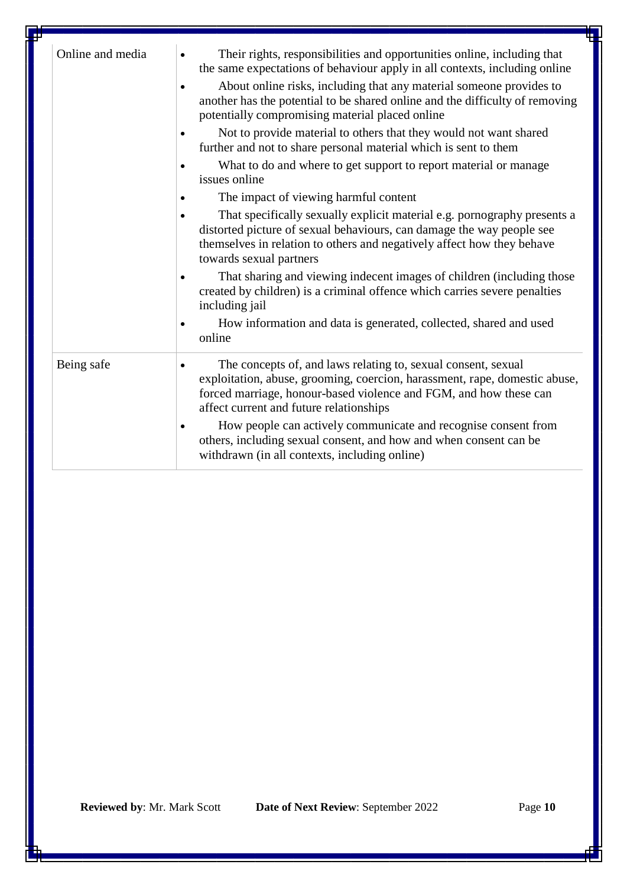| Online and media | Their rights, responsibilities and opportunities online, including that<br>$\bullet$<br>the same expectations of behaviour apply in all contexts, including online<br>About online risks, including that any material someone provides to<br>another has the potential to be shared online and the difficulty of removing<br>potentially compromising material placed online<br>Not to provide material to others that they would not want shared<br>further and not to share personal material which is sent to them<br>What to do and where to get support to report material or manage<br>issues online<br>The impact of viewing harmful content<br>That specifically sexually explicit material e.g. pornography presents a<br>distorted picture of sexual behaviours, can damage the way people see<br>themselves in relation to others and negatively affect how they behave<br>towards sexual partners<br>That sharing and viewing indecent images of children (including those<br>created by children) is a criminal offence which carries severe penalties<br>including jail<br>How information and data is generated, collected, shared and used<br>٠<br>online |
|------------------|---------------------------------------------------------------------------------------------------------------------------------------------------------------------------------------------------------------------------------------------------------------------------------------------------------------------------------------------------------------------------------------------------------------------------------------------------------------------------------------------------------------------------------------------------------------------------------------------------------------------------------------------------------------------------------------------------------------------------------------------------------------------------------------------------------------------------------------------------------------------------------------------------------------------------------------------------------------------------------------------------------------------------------------------------------------------------------------------------------------------------------------------------------------------------|
| Being safe       | The concepts of, and laws relating to, sexual consent, sexual<br>exploitation, abuse, grooming, coercion, harassment, rape, domestic abuse,<br>forced marriage, honour-based violence and FGM, and how these can<br>affect current and future relationships<br>How people can actively communicate and recognise consent from<br>others, including sexual consent, and how and when consent can be<br>withdrawn (in all contexts, including online)                                                                                                                                                                                                                                                                                                                                                                                                                                                                                                                                                                                                                                                                                                                       |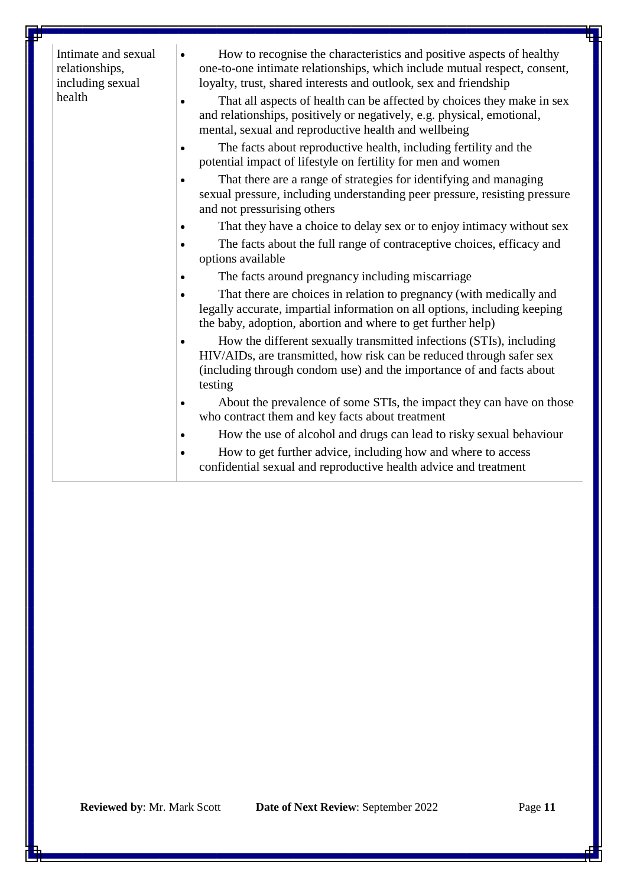| Intimate and sexual<br>relationships,<br>including sexual<br>health | How to recognise the characteristics and positive aspects of healthy<br>٠<br>one-to-one intimate relationships, which include mutual respect, consent,<br>loyalty, trust, shared interests and outlook, sex and friendship<br>That all aspects of health can be affected by choices they make in sex<br>and relationships, positively or negatively, e.g. physical, emotional,<br>mental, sexual and reproductive health and wellbeing |
|---------------------------------------------------------------------|----------------------------------------------------------------------------------------------------------------------------------------------------------------------------------------------------------------------------------------------------------------------------------------------------------------------------------------------------------------------------------------------------------------------------------------|
|                                                                     | The facts about reproductive health, including fertility and the<br>potential impact of lifestyle on fertility for men and women                                                                                                                                                                                                                                                                                                       |
|                                                                     | That there are a range of strategies for identifying and managing<br>sexual pressure, including understanding peer pressure, resisting pressure<br>and not pressurising others                                                                                                                                                                                                                                                         |
|                                                                     | That they have a choice to delay sex or to enjoy intimacy without sex                                                                                                                                                                                                                                                                                                                                                                  |
|                                                                     | The facts about the full range of contraceptive choices, efficacy and<br>options available                                                                                                                                                                                                                                                                                                                                             |
|                                                                     | The facts around pregnancy including miscarriage                                                                                                                                                                                                                                                                                                                                                                                       |
|                                                                     | That there are choices in relation to pregnancy (with medically and<br>legally accurate, impartial information on all options, including keeping<br>the baby, adoption, abortion and where to get further help)                                                                                                                                                                                                                        |
|                                                                     | How the different sexually transmitted infections (STIs), including<br>$\bullet$<br>HIV/AIDs, are transmitted, how risk can be reduced through safer sex<br>(including through condom use) and the importance of and facts about<br>testing                                                                                                                                                                                            |
|                                                                     | About the prevalence of some STIs, the impact they can have on those<br>٠<br>who contract them and key facts about treatment                                                                                                                                                                                                                                                                                                           |
|                                                                     | How the use of alcohol and drugs can lead to risky sexual behaviour<br>$\bullet$                                                                                                                                                                                                                                                                                                                                                       |
|                                                                     | How to get further advice, including how and where to access<br>٠<br>confidential sexual and reproductive health advice and treatment                                                                                                                                                                                                                                                                                                  |
|                                                                     |                                                                                                                                                                                                                                                                                                                                                                                                                                        |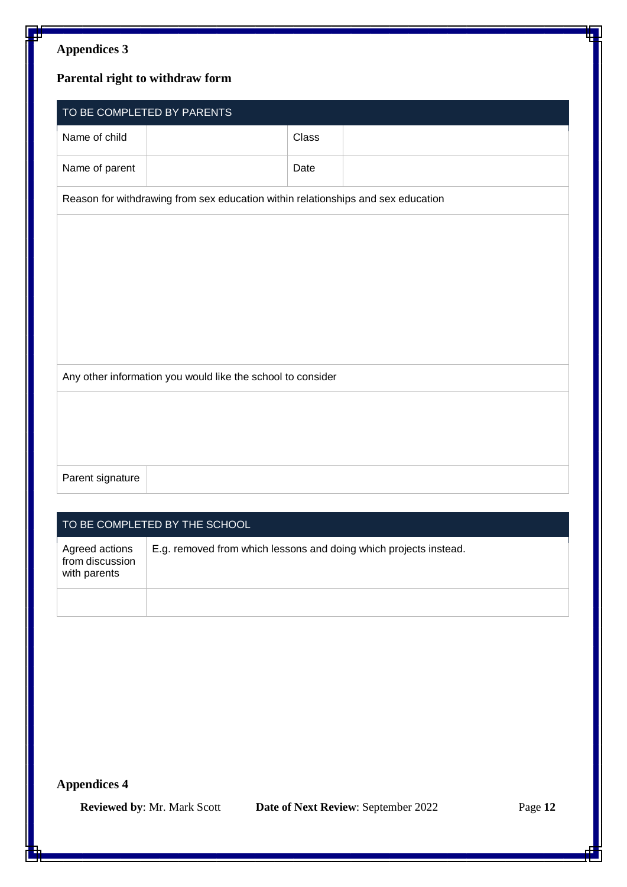# **Appendices 3**

# **Parental right to withdraw form**

|                  | TO BE COMPLETED BY PARENTS                                                       |       |  |
|------------------|----------------------------------------------------------------------------------|-------|--|
| Name of child    |                                                                                  | Class |  |
| Name of parent   |                                                                                  | Date  |  |
|                  | Reason for withdrawing from sex education within relationships and sex education |       |  |
|                  |                                                                                  |       |  |
|                  |                                                                                  |       |  |
|                  |                                                                                  |       |  |
|                  |                                                                                  |       |  |
|                  |                                                                                  |       |  |
|                  | Any other information you would like the school to consider                      |       |  |
|                  |                                                                                  |       |  |
|                  |                                                                                  |       |  |
|                  |                                                                                  |       |  |
| Parent signature |                                                                                  |       |  |
|                  |                                                                                  |       |  |

#### TO BE COMPLETED BY THE SCHOOL

| Agreed actions<br>from discussion<br>with parents | E.g. removed from which lessons and doing which projects instead. |
|---------------------------------------------------|-------------------------------------------------------------------|
|                                                   |                                                                   |

# **Appendices 4**